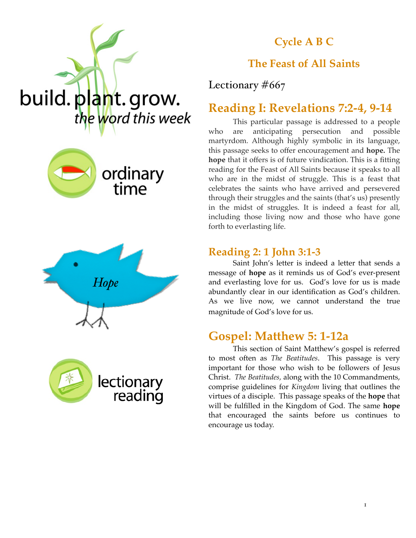

#### **Cycle A B C**

#### **The Feast of All Saints**

Lectionary #667

## **Reading I: Revelations 7:2-4, 9-14**

This particular passage is addressed to a people who are anticipating persecution and possible martyrdom. Although highly symbolic in its language, this passage seeks to offer encouragement and **hope.** The **hope** that it offers is of future vindication. This is a fitting reading for the Feast of All Saints because it speaks to all who are in the midst of struggle. This is a feast that celebrates the saints who have arrived and persevered through their struggles and the saints (that's us) presently in the midst of struggles. It is indeed a feast for all, including those living now and those who have gone forth to everlasting life.

#### **Reading 2: 1 John 3:1-3**

Saint John's letter is indeed a letter that sends a message of **hope** as it reminds us of God's ever-present and everlasting love for us. God's love for us is made abundantly clear in our identification as God's children. As we live now, we cannot understand the true magnitude of God's love for us.

## **Gospel: Matthew 5: 1-12a**

This section of Saint Matthew's gospel is referred to most often as *The Beatitudes*. This passage is very important for those who wish to be followers of Jesus Christ. *The Beatitudes,* along with the 10 Commandments, comprise guidelines for *Kingdom* living that outlines the virtues of a disciple. This passage speaks of the **hope** that will be fulfilled in the Kingdom of God. The same **hope** that encouraged the saints before us continues to encourage us today.





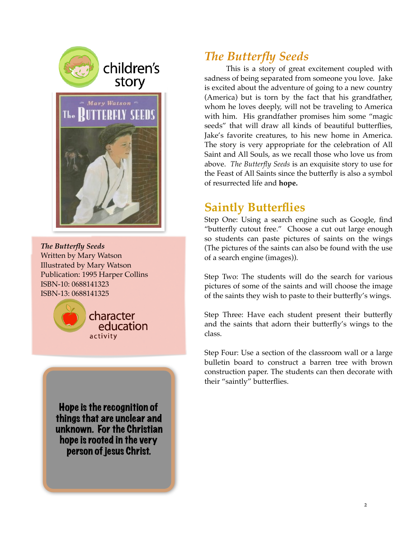



*The Butterfly Seeds* Written by Mary Watson Illustrated by Mary Watson Publication: 1995 Harper Collins ISBN-10: 0688141323 ISBN-13: 0688141325



Hope is the recognition of things that are unclear and unknown. For the Christian hope is rooted in the very person of jesus Christ.

# *The Butterfly Seeds*

This is a story of great excitement coupled with sadness of being separated from someone you love. Jake is excited about the adventure of going to a new country (America) but is torn by the fact that his grandfather, whom he loves deeply, will not be traveling to America with him. His grandfather promises him some "magic seeds" that will draw all kinds of beautiful butterflies, Jake's favorite creatures, to his new home in America. The story is very appropriate for the celebration of All Saint and All Souls, as we recall those who love us from above. *The Butterfly Seeds* is an exquisite story to use for the Feast of All Saints since the butterfly is also a symbol of resurrected life and **hope.**

## **Saintly Butterflies**

Step One: Using a search engine such as Google, find "butterfly cutout free." Choose a cut out large enough so students can paste pictures of saints on the wings (The pictures of the saints can also be found with the use of a search engine (images)).

Step Two: The students will do the search for various pictures of some of the saints and will choose the image of the saints they wish to paste to their butterfly's wings.

Step Three: Have each student present their butterfly and the saints that adorn their butterfly's wings to the class.

Step Four: Use a section of the classroom wall or a large bulletin board to construct a barren tree with brown construction paper. The students can then decorate with their "saintly" butterflies.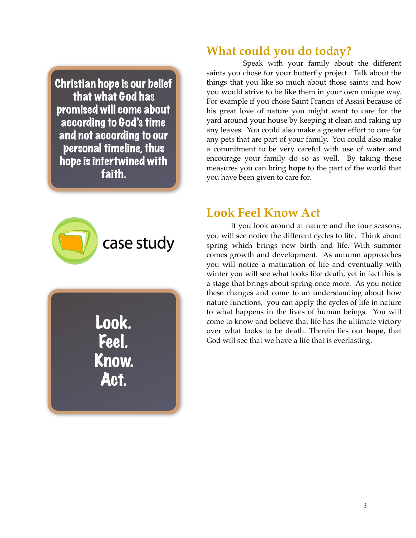Christian hope is our belief that what God has promised will come about according to God's time and not according to our personal timeline, thus hope is intertwined with faith.



Look. Feel. Know. Act.

### **What could you do today?**

Speak with your family about the different saints you chose for your butterfly project. Talk about the things that you like so much about those saints and how you would strive to be like them in your own unique way. For example if you chose Saint Francis of Assisi because of his great love of nature you might want to care for the yard around your house by keeping it clean and raking up any leaves. You could also make a greater effort to care for any pets that are part of your family. You could also make a commitment to be very careful with use of water and encourage your family do so as well. By taking these measures you can bring **hope** to the part of the world that you have been given to care for.

#### **Look Feel Know Act**

If you look around at nature and the four seasons, you will see notice the different cycles to life. Think about spring which brings new birth and life. With summer comes growth and development. As autumn approaches you will notice a maturation of life and eventually with winter you will see what looks like death, yet in fact this is a stage that brings about spring once more. As you notice these changes and come to an understanding about how nature functions, you can apply the cycles of life in nature to what happens in the lives of human beings. You will come to know and believe that life has the ultimate victory over what looks to be death. Therein lies our **hope,** that God will see that we have a life that is everlasting.